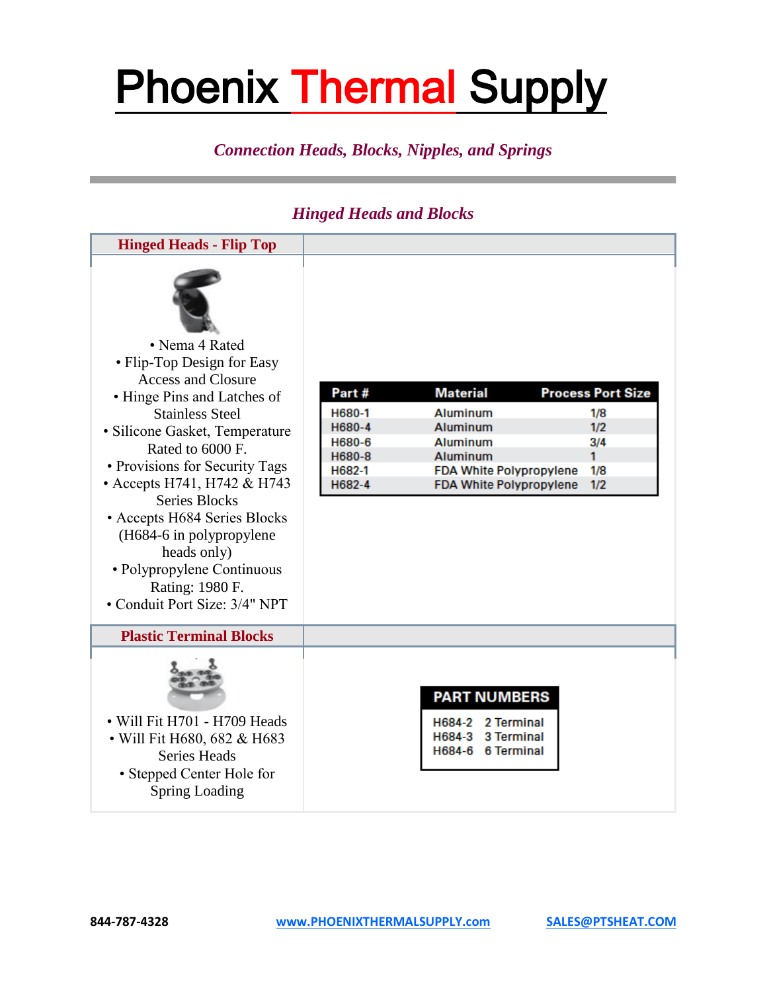### *Connection Heads, Blocks, Nipples, and Springs*

### *Hinged Heads and Blocks*

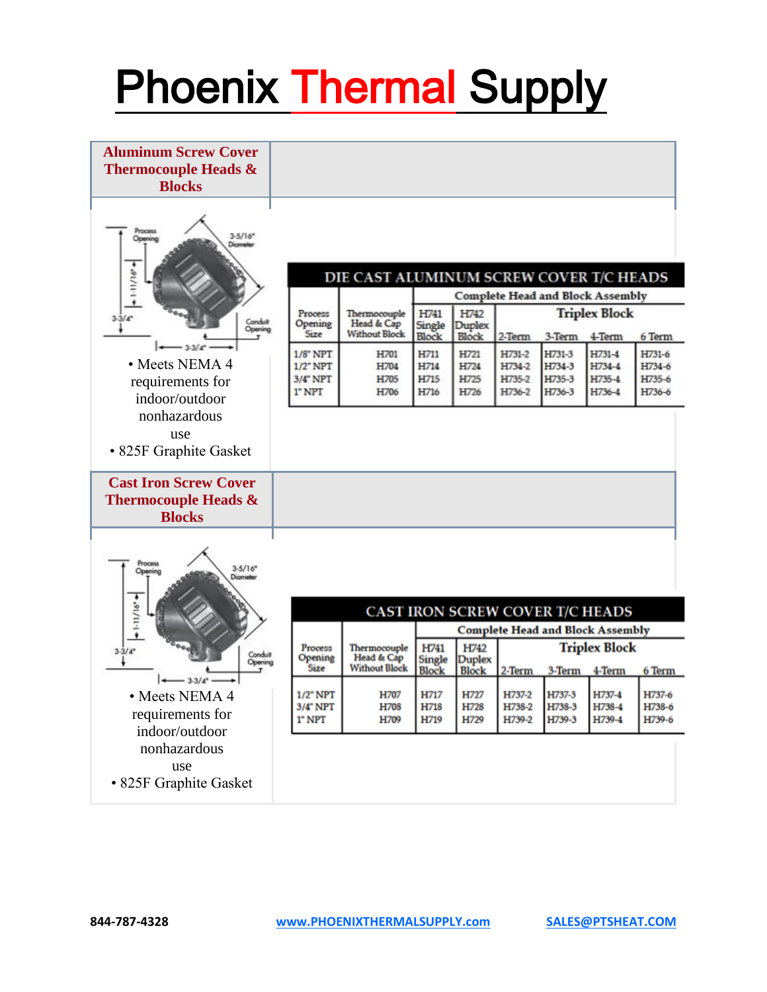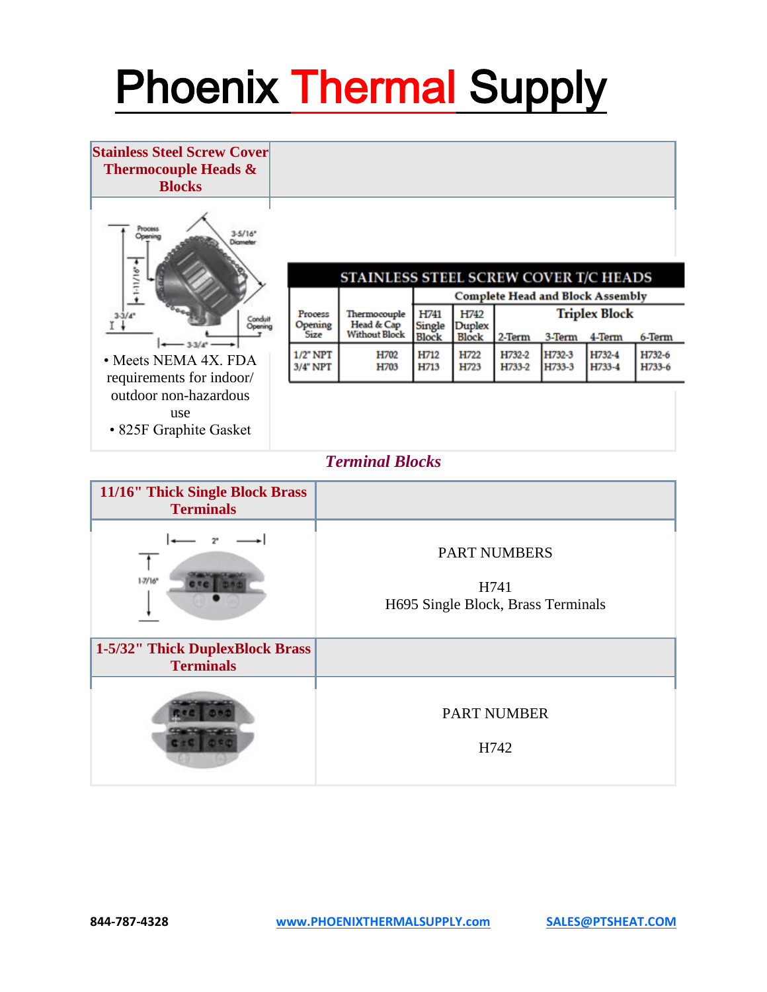

#### *Terminal Blocks*

| 11/16" Thick Single Block Brass<br><b>Terminals</b> |                                                                   |
|-----------------------------------------------------|-------------------------------------------------------------------|
| $1 - 7/16$ *                                        | <b>PART NUMBERS</b><br>H741<br>H695 Single Block, Brass Terminals |
| 1-5/32" Thick DuplexBlock Brass<br><b>Terminals</b> |                                                                   |
|                                                     | <b>PART NUMBER</b><br>H742                                        |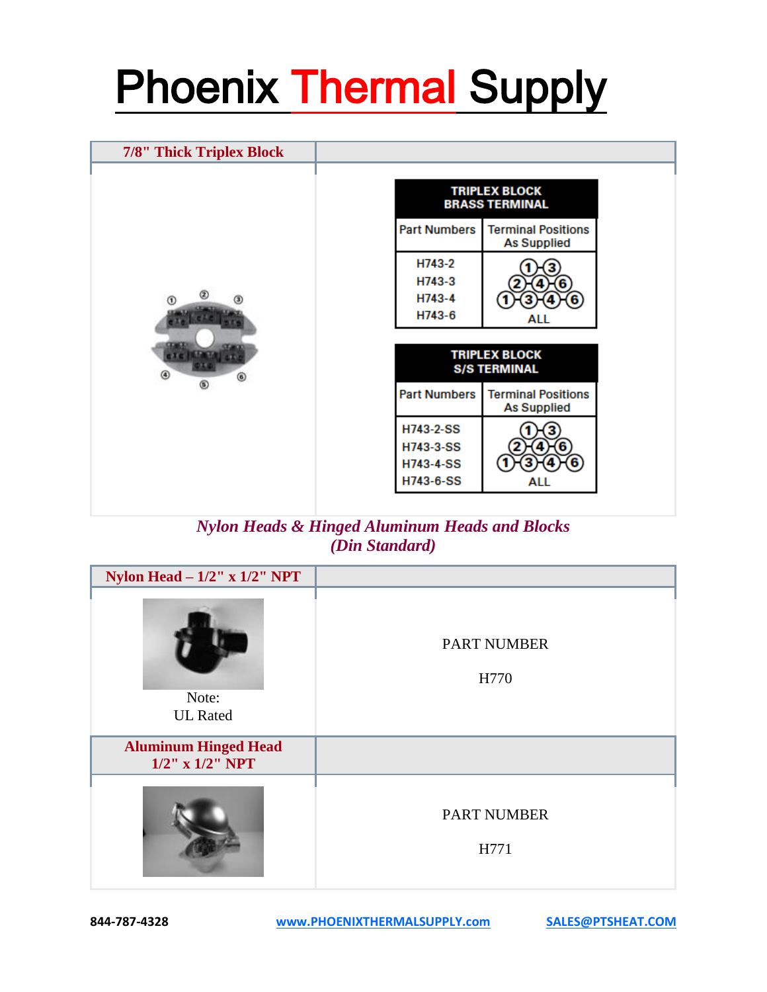| <b>TRIPLEX BLOCK</b><br><b>BRASS TERMINAL</b><br><b>Terminal Positions</b><br><b>Part Numbers</b><br><b>As Supplied</b><br>H743-2<br>H743-3 |  |
|---------------------------------------------------------------------------------------------------------------------------------------------|--|
|                                                                                                                                             |  |
|                                                                                                                                             |  |
| H743-4<br>$\circledR$<br>H743-6<br>ALL                                                                                                      |  |
| <b>TRIPLEX BLOCK</b><br><b>S/S TERMINAL</b><br>◉<br>◉                                                                                       |  |
| ⊛<br><b>Part Numbers</b><br><b>Terminal Positions</b><br><b>As Supplied</b>                                                                 |  |
| H743-2-SS<br>H743-3-SS<br>6<br><b>H743-4-SS</b><br>H743-6-SS<br>ALL                                                                         |  |

*Nylon Heads & Hinged Aluminum Heads and Blocks (Din Standard)*

| Nylon Head $-1/2$ " x $1/2$ " NPT                    |                            |
|------------------------------------------------------|----------------------------|
| Note:<br><b>UL</b> Rated                             | <b>PART NUMBER</b><br>H770 |
| <b>Aluminum Hinged Head</b><br>$1/2$ " x $1/2$ " NPT |                            |
|                                                      | <b>PART NUMBER</b><br>H771 |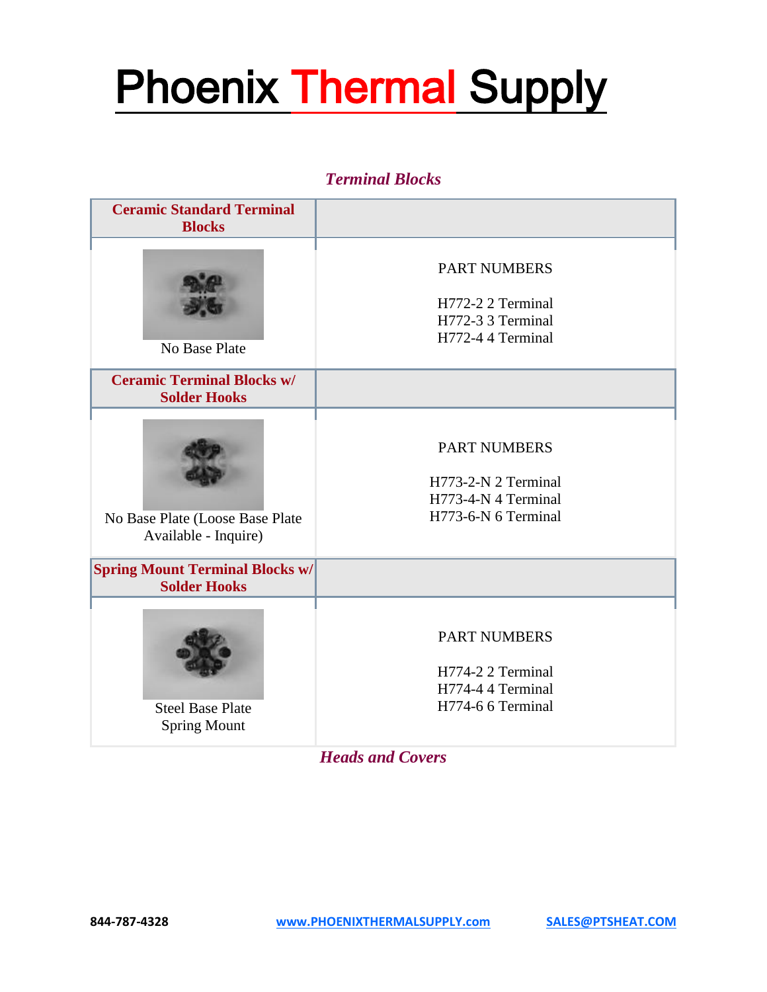#### *Terminal Blocks*

| <b>Ceramic Standard Terminal</b><br><b>Blocks</b>             |                                                                                          |
|---------------------------------------------------------------|------------------------------------------------------------------------------------------|
| No Base Plate                                                 | <b>PART NUMBERS</b><br>H772-2 2 Terminal<br>H772-3 3 Terminal<br>H772-4 4 Terminal       |
| <b>Ceramic Terminal Blocks w/</b><br><b>Solder Hooks</b>      |                                                                                          |
| No Base Plate (Loose Base Plate<br>Available - Inquire)       | <b>PART NUMBERS</b><br>H773-2-N 2 Terminal<br>H773-4-N 4 Terminal<br>H773-6-N 6 Terminal |
| <b>Spring Mount Terminal Blocks w/</b><br><b>Solder Hooks</b> |                                                                                          |
| <b>Steel Base Plate</b><br><b>Spring Mount</b>                | <b>PART NUMBERS</b><br>H774-2 2 Terminal<br>H774-4 4 Terminal<br>H774-6 6 Terminal       |

*Heads and Covers*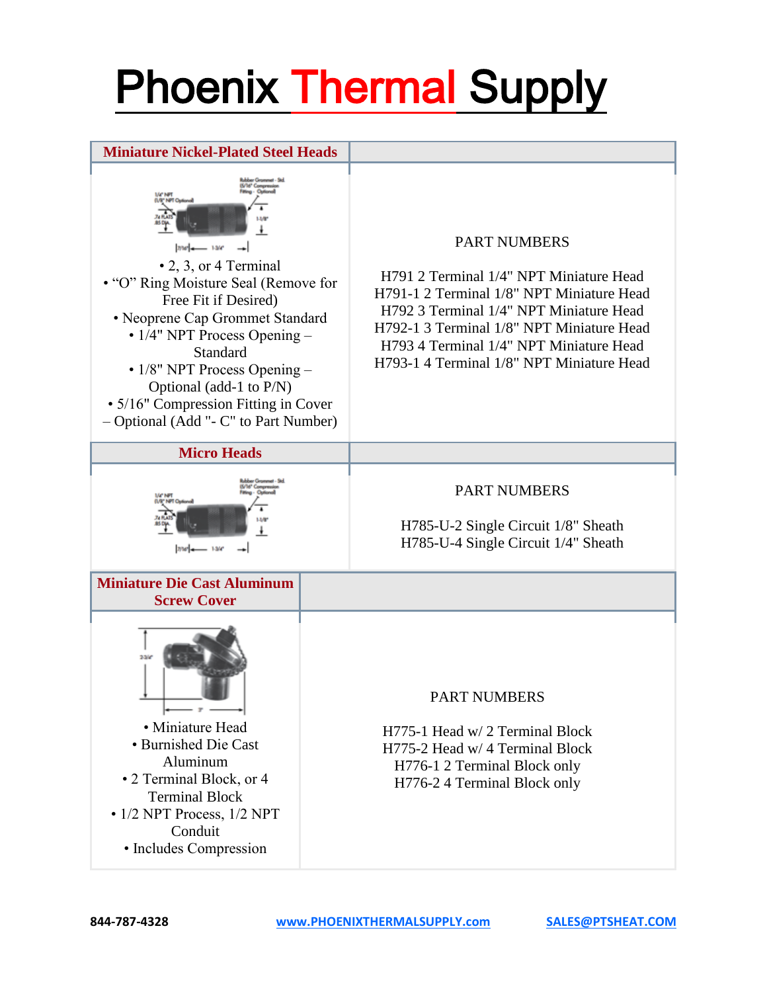### **Miniature Nickel-Plated Steel Heads**



- 2, 3, or 4 Terminal • "O" Ring Moisture Seal (Remove for Free Fit if Desired) • Neoprene Cap Grommet Standard • 1/4" NPT Process Opening – Standard •  $1/8$ " NPT Process Opening – Optional (add-1 to P/N) • 5/16" Compression Fitting in Cover
- 
- Optional (Add "- C" to Part Number)

#### PART NUMBERS

H791 2 Terminal 1/4" NPT Miniature Head H791-1 2 Terminal 1/8" NPT Miniature Head H792 3 Terminal 1/4" NPT Miniature Head H792-1 3 Terminal 1/8" NPT Miniature Head H793 4 Terminal 1/4" NPT Miniature Head H793-1 4 Terminal 1/8" NPT Miniature Head





### PART NUMBERS

H785-U-2 Single Circuit 1/8" Sheath H785-U-4 Single Circuit 1/4" Sheath

**Miniature Die Cast Aluminum Screw Cover**



• Miniature Head • Burnished Die Cast Aluminum • 2 Terminal Block, or 4 Terminal Block

• 1/2 NPT Process, 1/2 NPT Conduit • Includes Compression

#### PART NUMBERS

H775-1 Head w/ 2 Terminal Block H775-2 Head w/ 4 Terminal Block H776-1 2 Terminal Block only H776-2 4 Terminal Block only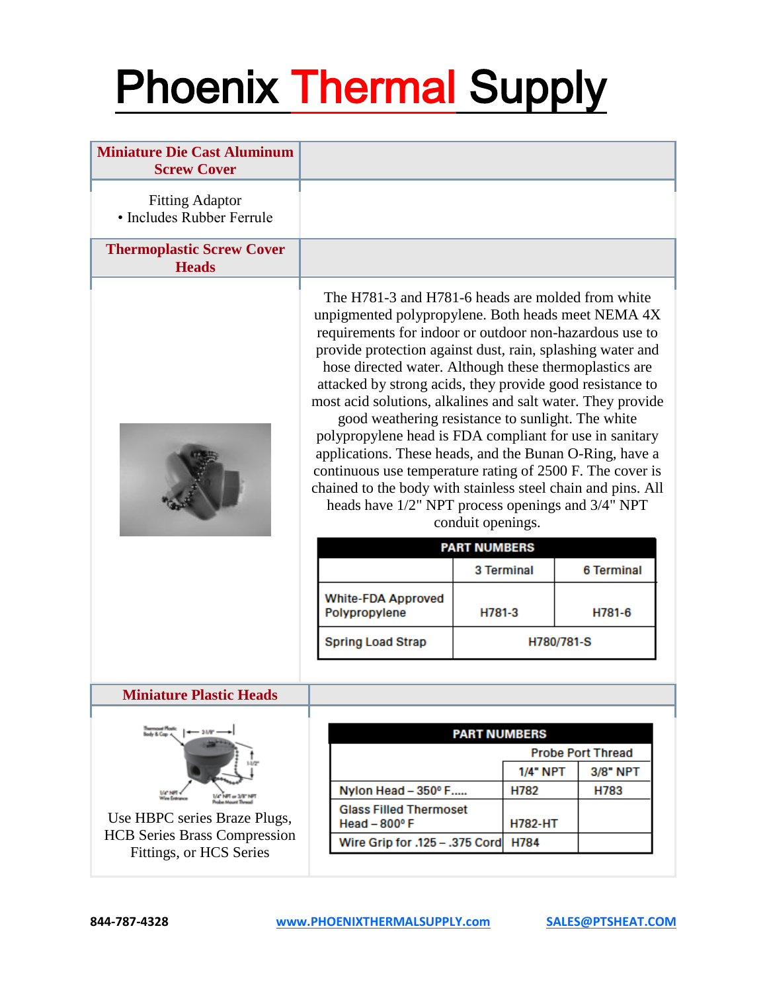| <b>Miniature Die Cast Aluminum</b><br><b>Screw Cover</b> |                                                                                                                                                                                                                                                                                                                                                                                                                                                                                                                                                                                                                                                                                                                                                                                     |                                          |                |                   |  |
|----------------------------------------------------------|-------------------------------------------------------------------------------------------------------------------------------------------------------------------------------------------------------------------------------------------------------------------------------------------------------------------------------------------------------------------------------------------------------------------------------------------------------------------------------------------------------------------------------------------------------------------------------------------------------------------------------------------------------------------------------------------------------------------------------------------------------------------------------------|------------------------------------------|----------------|-------------------|--|
| <b>Fitting Adaptor</b><br>• Includes Rubber Ferrule      |                                                                                                                                                                                                                                                                                                                                                                                                                                                                                                                                                                                                                                                                                                                                                                                     |                                          |                |                   |  |
| <b>Thermoplastic Screw Cover</b><br><b>Heads</b>         |                                                                                                                                                                                                                                                                                                                                                                                                                                                                                                                                                                                                                                                                                                                                                                                     |                                          |                |                   |  |
|                                                          | The H781-3 and H781-6 heads are molded from white<br>unpigmented polypropylene. Both heads meet NEMA 4X<br>requirements for indoor or outdoor non-hazardous use to<br>provide protection against dust, rain, splashing water and<br>hose directed water. Although these thermoplastics are<br>attacked by strong acids, they provide good resistance to<br>most acid solutions, alkalines and salt water. They provide<br>good weathering resistance to sunlight. The white<br>polypropylene head is FDA compliant for use in sanitary<br>applications. These heads, and the Bunan O-Ring, have a<br>continuous use temperature rating of 2500 F. The cover is<br>chained to the body with stainless steel chain and pins. All<br>heads have 1/2" NPT process openings and 3/4" NPT | conduit openings.<br><b>PART NUMBERS</b> |                |                   |  |
|                                                          | <b>White-FDA Approved</b>                                                                                                                                                                                                                                                                                                                                                                                                                                                                                                                                                                                                                                                                                                                                                           | 3 Terminal                               |                | <b>6 Terminal</b> |  |
|                                                          | Polypropylene                                                                                                                                                                                                                                                                                                                                                                                                                                                                                                                                                                                                                                                                                                                                                                       | H781-3                                   |                | H781-6            |  |
|                                                          | <b>Spring Load Strap</b>                                                                                                                                                                                                                                                                                                                                                                                                                                                                                                                                                                                                                                                                                                                                                            |                                          | H780/781-S     |                   |  |
| <b>Miniature Plastic Heads</b>                           |                                                                                                                                                                                                                                                                                                                                                                                                                                                                                                                                                                                                                                                                                                                                                                                     |                                          |                |                   |  |
|                                                          |                                                                                                                                                                                                                                                                                                                                                                                                                                                                                                                                                                                                                                                                                                                                                                                     |                                          |                |                   |  |
| $-218°$<br>ody & Cop .                                   |                                                                                                                                                                                                                                                                                                                                                                                                                                                                                                                                                                                                                                                                                                                                                                                     | <b>PART NUMBERS</b>                      |                |                   |  |
|                                                          | <b>Probe Port Thread</b><br>$1/4$ NPT                                                                                                                                                                                                                                                                                                                                                                                                                                                                                                                                                                                                                                                                                                                                               |                                          |                | 3/8" NPT          |  |
| <b>UG NRT</b>                                            | Nylon Head - 350° F                                                                                                                                                                                                                                                                                                                                                                                                                                                                                                                                                                                                                                                                                                                                                                 |                                          | H782           | H783              |  |
| Use HBPC series Braze Plugs,                             | <b>Glass Filled Thermoset</b><br>Head $-800^\circ$ F                                                                                                                                                                                                                                                                                                                                                                                                                                                                                                                                                                                                                                                                                                                                |                                          | <b>H782-HT</b> |                   |  |
| <b>HCB</b> Series Brass Compression                      | Wire Grip for .125 - .375 Cord                                                                                                                                                                                                                                                                                                                                                                                                                                                                                                                                                                                                                                                                                                                                                      |                                          | H784           |                   |  |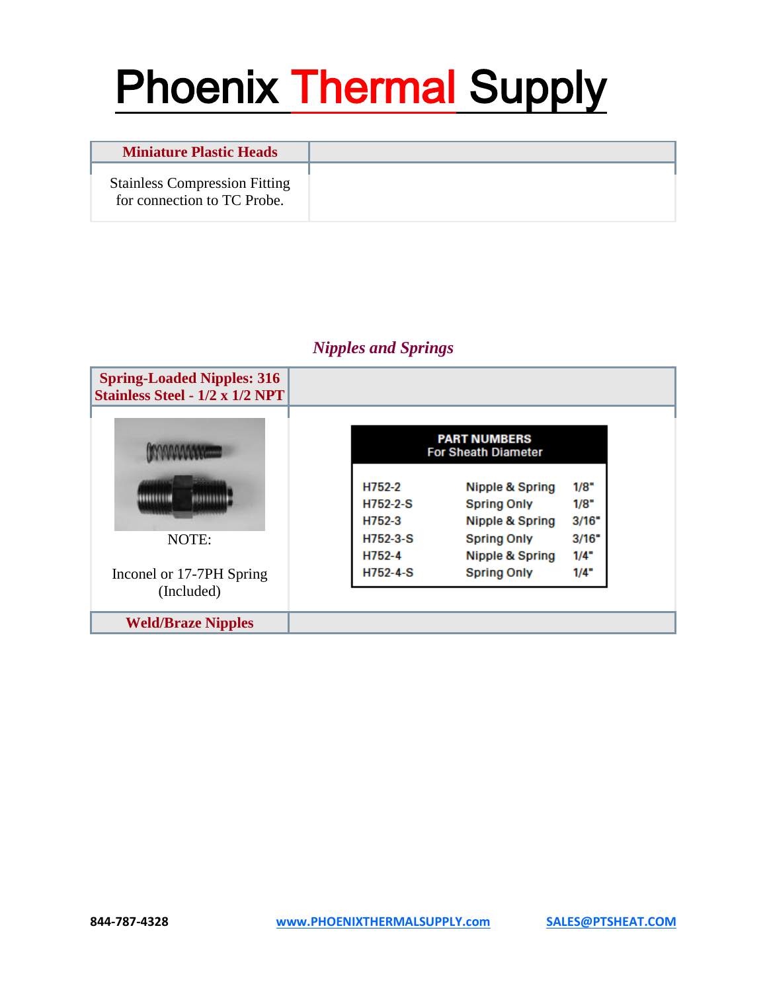| <b>Miniature Plastic Heads</b>                                      |  |
|---------------------------------------------------------------------|--|
| <b>Stainless Compression Fitting</b><br>for connection to TC Probe. |  |

### *Nipples and Springs*

| <b>Spring-Loaded Nipples: 316</b><br><b>Stainless Steel - 1/2 x 1/2 NPT</b> |                                                   |                    |       |  |
|-----------------------------------------------------------------------------|---------------------------------------------------|--------------------|-------|--|
|                                                                             | <b>PART NUMBERS</b><br><b>For Sheath Diameter</b> |                    |       |  |
|                                                                             | H752-2                                            | Nipple & Spring    | 1/8"  |  |
|                                                                             | $H752-2-S$                                        | <b>Spring Only</b> | 1/8"  |  |
|                                                                             | H752-3                                            | Nipple & Spring    | 3/16" |  |
| NOTE:                                                                       | $H752-3-S$                                        | <b>Spring Only</b> | 3/16" |  |
|                                                                             | H752-4                                            | Nipple & Spring    | 1/4"  |  |
| Inconel or 17-7PH Spring                                                    | $H752 - 4-S$                                      | <b>Spring Only</b> | 1/4"  |  |
| (Included)                                                                  |                                                   |                    |       |  |
| <b>Weld/Braze Nipples</b>                                                   |                                                   |                    |       |  |